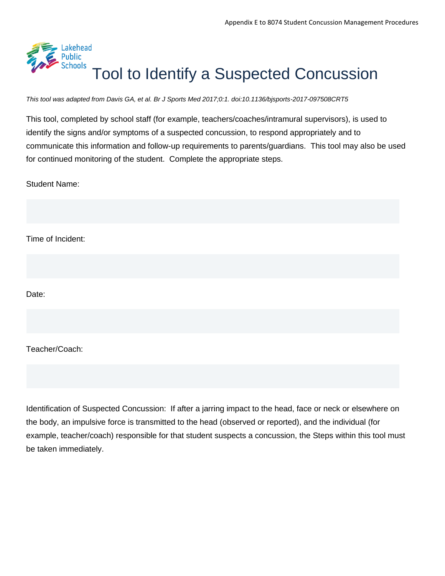

*This tool was adapted from Davis GA, et al. Br J Sports Med 2017;0:1. doi:10.1136/bjsports-2017-097508CRT5*

This tool, completed by school staff (for example, teachers/coaches/intramural supervisors), is used to identify the signs and/or symptoms of a suspected concussion, to respond appropriately and to communicate this information and follow-up requirements to parents/guardians. This tool may also be used for continued monitoring of the student. Complete the appropriate steps.

Student Name:

Time of Incident:

Date:

Teacher/Coach:

Identification of Suspected Concussion: If after a jarring impact to the head, face or neck or elsewhere on the body, an impulsive force is transmitted to the head (observed or reported), and the individual (for example, teacher/coach) responsible for that student suspects a concussion, the Steps within this tool must be taken immediately.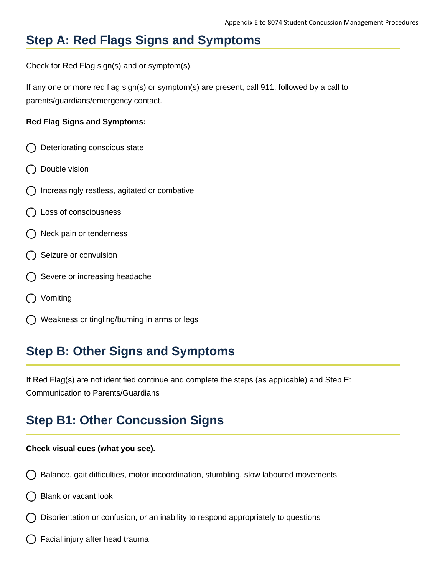## **Step A: Red Flags Signs and Symptoms**

Check for Red Flag sign(s) and or symptom(s).

If any one or more red flag sign(s) or symptom(s) are present, call 911, followed by a call to parents/guardians/emergency contact.

#### **Red Flag Signs and Symptoms:**

- Deteriorating conscious state
- Double vision
- Increasingly restless, agitated or combative
- Loss of consciousness
- () Neck pain or tenderness
- Seizure or convulsion
- Severe or increasing headache
- Vomiting
- Weakness or tingling/burning in arms or legs

## **Step B: Other Signs and Symptoms**

If Red Flag(s) are not identified continue and complete the steps (as applicable) and Step E: Communication to Parents/Guardians

### **Step B1: Other Concussion Signs**

#### **Check visual cues (what you see).**

- Balance, gait difficulties, motor incoordination, stumbling, slow laboured movements
- Blank or vacant look
- Disorientation or confusion, or an inability to respond appropriately to questions
- Facial injury after head trauma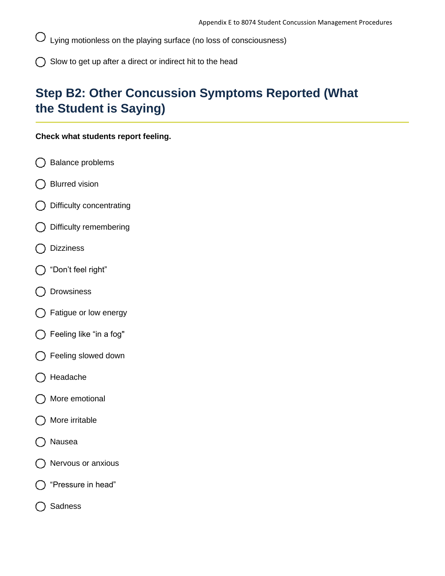Lying motionless on the playing surface (no loss of consciousness) Ő

 $\bigcap$  Slow to get up after a direct or indirect hit to the head

# **Step B2: Other Concussion Symptoms Reported (What the Student is Saying)**

#### **Check what students report feeling.**

- Balance problems
- Blurred vision
- Difficulty concentrating
- Difficulty remembering  $\left( \begin{array}{c} \end{array} \right)$
- Dizziness
- "Don't feel right"  $($
- Drowsiness
- Fatigue or low energy
- Feeling like "in a fog"
- Feeling slowed down
- Headache
- More emotional
- More irritable
- Nausea
- Nervous or anxious
- "Pressure in head"
- Sadness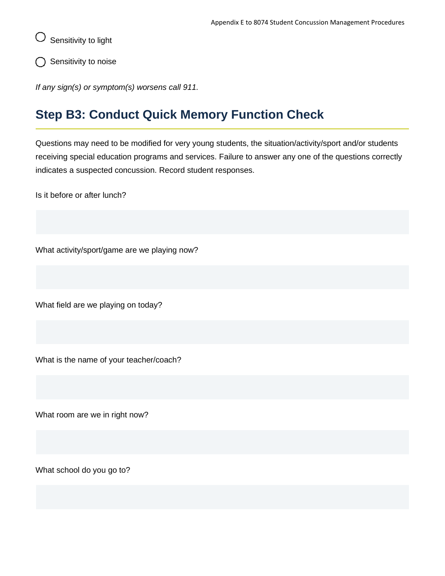Sensitivity to light

Sensitivity to noise

*If any sign(s) or symptom(s) worsens call 911.*

## **Step B3: Conduct Quick Memory Function Check**

Questions may need to be modified for very young students, the situation/activity/sport and/or students receiving special education programs and services. Failure to answer any one of the questions correctly indicates a suspected concussion. Record student responses.

Is it before or after lunch?

What activity/sport/game are we playing now?

What field are we playing on today?

What is the name of your teacher/coach?

What room are we in right now?

What school do you go to?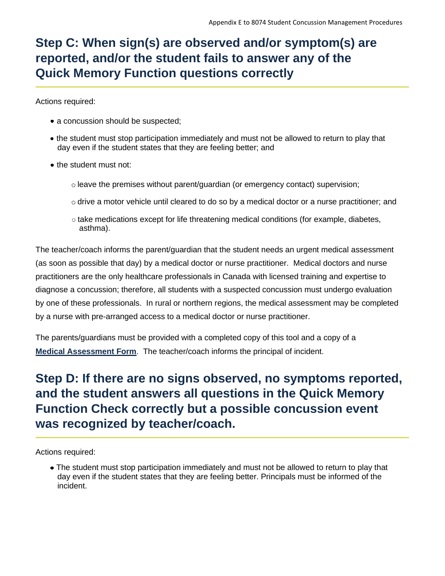# **Step C: When sign(s) are observed and/or symptom(s) are reported, and/or the student fails to answer any of the Quick Memory Function questions correctly**

Actions required:

- a concussion should be suspected;
- the student must stop participation immediately and must not be allowed to return to play that day even if the student states that they are feeling better; and
- the student must not:
	- $\circ$  leave the premises without parent/guardian (or emergency contact) supervision;
	- $\circ$  drive a motor vehicle until cleared to do so by a medical doctor or a nurse practitioner; and
	- $\circ$  take medications except for life threatening medical conditions (for example, diabetes, asthma).

The teacher/coach informs the parent/guardian that the student needs an urgent medical assessment (as soon as possible that day) by a medical doctor or nurse practitioner. Medical doctors and nurse practitioners are the only healthcare professionals in Canada with licensed training and expertise to diagnose a concussion; therefore, all students with a suspected concussion must undergo evaluation by one of these professionals. In rural or northern regions, the medical assessment may be completed by a nurse with pre-arranged access to a medical doctor or nurse practitioner.

The parents/guardians must be provided with a completed copy of this tool and a copy of a **[Medical Assessment Form](https://safety.ophea.net/resources/822)**. The teacher/coach informs the principal of incident.

## **Step D: If there are no signs observed, no symptoms reported, and the student answers all questions in the Quick Memory Function Check correctly but a possible concussion event was recognized by teacher/coach.**

Actions required:

The student must stop participation immediately and must not be allowed to return to play that day even if the student states that they are feeling better. Principals must be informed of the incident.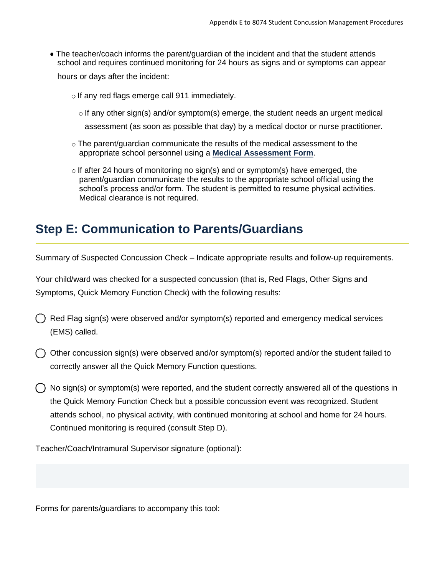The teacher/coach informs the parent/guardian of the incident and that the student attends school and requires continued monitoring for 24 hours as signs and or symptoms can appear

hours or days after the incident:

 $\circ$  If any red flags emerge call 911 immediately.

 $\circ$  If any other sign(s) and/or symptom(s) emerge, the student needs an urgent medical

assessment (as soon as possible that day) by a medical doctor or nurse practitioner.

- $\circ$  The parent/guardian communicate the results of the medical assessment to the appropriate school personnel using a **[Medical Assessment Form](https://safety.ophea.net/resources/822)**.
- $\circ$  If after 24 hours of monitoring no sign(s) and or symptom(s) have emerged, the parent/guardian communicate the results to the appropriate school official using the school's process and/or form. The student is permitted to resume physical activities. Medical clearance is not required.

### **Step E: Communication to Parents/Guardians**

Summary of Suspected Concussion Check – Indicate appropriate results and follow-up requirements.

Your child/ward was checked for a suspected concussion (that is, Red Flags, Other Signs and Symptoms, Quick Memory Function Check) with the following results:

- Red Flag sign(s) were observed and/or symptom(s) reported and emergency medical services (EMS) called.
- $\bigcap$  Other concussion sign(s) were observed and/or symptom(s) reported and/or the student failed to correctly answer all the Quick Memory Function questions.
- No sign(s) or symptom(s) were reported, and the student correctly answered all of the questions in the Quick Memory Function Check but a possible concussion event was recognized. Student attends school, no physical activity, with continued monitoring at school and home for 24 hours. Continued monitoring is required (consult Step D).

Teacher/Coach/Intramural Supervisor signature (optional):

Forms for parents/guardians to accompany this tool: